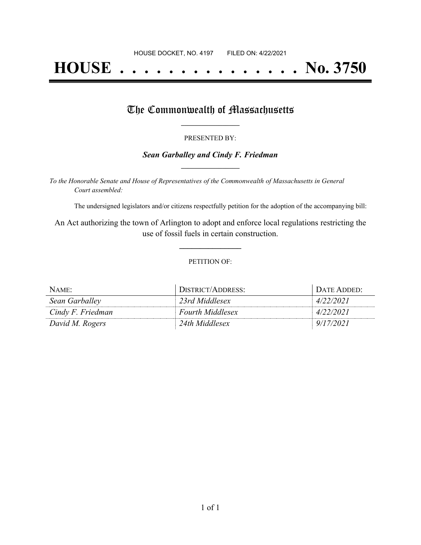# **HOUSE . . . . . . . . . . . . . . . No. 3750**

### The Commonwealth of Massachusetts

#### PRESENTED BY:

#### *Sean Garballey and Cindy F. Friedman* **\_\_\_\_\_\_\_\_\_\_\_\_\_\_\_\_\_**

*To the Honorable Senate and House of Representatives of the Commonwealth of Massachusetts in General Court assembled:*

The undersigned legislators and/or citizens respectfully petition for the adoption of the accompanying bill:

An Act authorizing the town of Arlington to adopt and enforce local regulations restricting the use of fossil fuels in certain construction.

**\_\_\_\_\_\_\_\_\_\_\_\_\_\_\_**

#### PETITION OF:

| NAME:             | DISTRICT/ADDRESS:       | DATE ADDED: |
|-------------------|-------------------------|-------------|
| Sean Garballey    | 23rd Middlesex          | 4/22/2021   |
| Cindy F. Friedman | <b>Fourth Middlesex</b> | 4/22/2021   |
| David M. Rogers   | 24th Middlesex          | 9/17/2021   |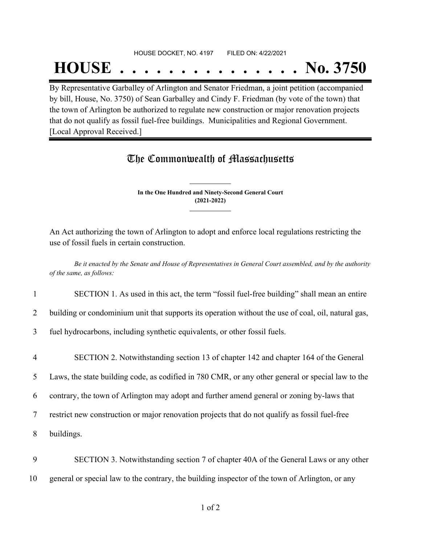## HOUSE DOCKET, NO. 4197 FILED ON: 4/22/2021

## **HOUSE . . . . . . . . . . . . . . . No. 3750**

By Representative Garballey of Arlington and Senator Friedman, a joint petition (accompanied by bill, House, No. 3750) of Sean Garballey and Cindy F. Friedman (by vote of the town) that the town of Arlington be authorized to regulate new construction or major renovation projects that do not qualify as fossil fuel-free buildings. Municipalities and Regional Government. [Local Approval Received.]

## The Commonwealth of Massachusetts

**In the One Hundred and Ninety-Second General Court (2021-2022) \_\_\_\_\_\_\_\_\_\_\_\_\_\_\_**

**\_\_\_\_\_\_\_\_\_\_\_\_\_\_\_**

An Act authorizing the town of Arlington to adopt and enforce local regulations restricting the use of fossil fuels in certain construction.

Be it enacted by the Senate and House of Representatives in General Court assembled, and by the authority *of the same, as follows:*

1 SECTION 1. As used in this act, the term "fossil fuel-free building" shall mean an entire

2 building or condominium unit that supports its operation without the use of coal, oil, natural gas,

3 fuel hydrocarbons, including synthetic equivalents, or other fossil fuels.

- 4 SECTION 2. Notwithstanding section 13 of chapter 142 and chapter 164 of the General 5 Laws, the state building code, as codified in 780 CMR, or any other general or special law to the 6 contrary, the town of Arlington may adopt and further amend general or zoning by-laws that 7 restrict new construction or major renovation projects that do not qualify as fossil fuel-free 8 buildings.
- 9 SECTION 3. Notwithstanding section 7 of chapter 40A of the General Laws or any other 10 general or special law to the contrary, the building inspector of the town of Arlington, or any